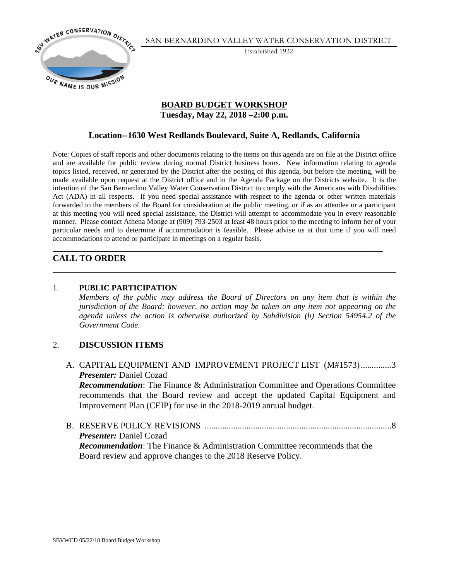

SAN BERNARDINO VALLEY WATER CONSERVATION DISTRICT

Established 1932

### **BOARD BUDGET WORKSHOP Tuesday, May 22, 2018 –2:00 p.m.**

## **Location--1630 West Redlands Boulevard, Suite A, Redlands, California**

Note: Copies of staff reports and other documents relating to the items on this agenda are on file at the District office and are available for public review during normal District business hours. New information relating to agenda topics listed, received, or generated by the District after the posting of this agenda, but before the meeting, will be made available upon request at the District office and in the Agenda Package on the Districts website. It is the intention of the San Bernardino Valley Water Conservation District to comply with the Americans with Disabilities Act (ADA) in all respects. If you need special assistance with respect to the agenda or other written materials forwarded to the members of the Board for consideration at the public meeting, or if as an attendee or a participant at this meeting you will need special assistance, the District will attempt to accommodate you in every reasonable manner. Please contact Athena Monge at (909) 793-2503 at least 48 hours prior to the meeting to inform her of your particular needs and to determine if accommodation is feasible. Please advise us at that time if you will need accommodations to attend or participate in meetings on a regular basis.

\_\_\_\_\_\_\_\_\_\_\_\_\_\_\_\_\_\_\_\_\_\_\_\_\_\_\_\_\_\_\_\_\_\_\_\_\_\_\_\_\_\_\_\_\_\_\_\_\_\_\_\_\_\_\_\_\_\_\_\_\_\_\_\_\_\_\_\_\_\_\_\_\_\_\_

# **CALL TO ORDER**

### 1. **PUBLIC PARTICIPATION**

 *Members of the public may address the Board of Directors on any item that is within the jurisdiction of the Board; however, no action may be taken on any item not appearing on the agenda unless the action is otherwise authorized by Subdivision (b) Section 54954.2 of the Government Code.* 

### 2. **DISCUSSION ITEMS**

- A. CAPITAL EQUIPMENT AND IMPROVEMENT PROJECT LIST (M#1573) ..............3 *Presenter:* Daniel Cozad *Recommendation*: The Finance & Administration Committee and Operations Committee recommends that the Board review and accept the updated Capital Equipment and Improvement Plan (CEIP) for use in the 2018-2019 annual budget.
- B. RESERVE POLICY REVISIONS .....................................................................................8 *Presenter:* Daniel Cozad *Recommendation*: The Finance & Administration Committee recommends that the Board review and approve changes to the 2018 Reserve Policy.